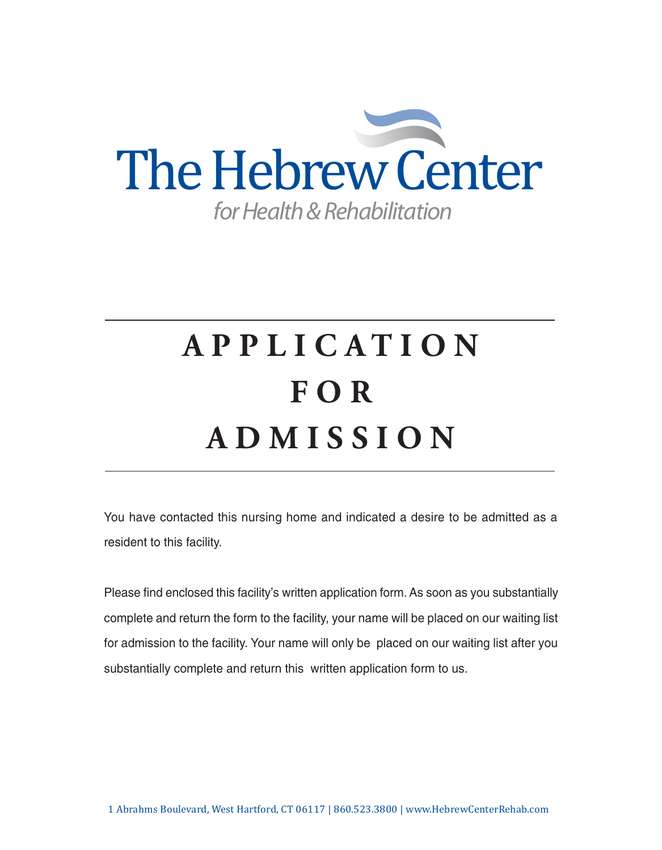

# **APPL I C A T I O N F O R ADM I S S I O N**

You have contacted this nursing home and indicated a desire to be admitted as a resident to this facility.

Please find enclosed this facility's written application form. As soon as you substantially complete and return the form to the facility, your name will be placed on our waiting list for admission to the facility. Your name will only be placed on our waiting list after you substantially complete and return this written application form to us.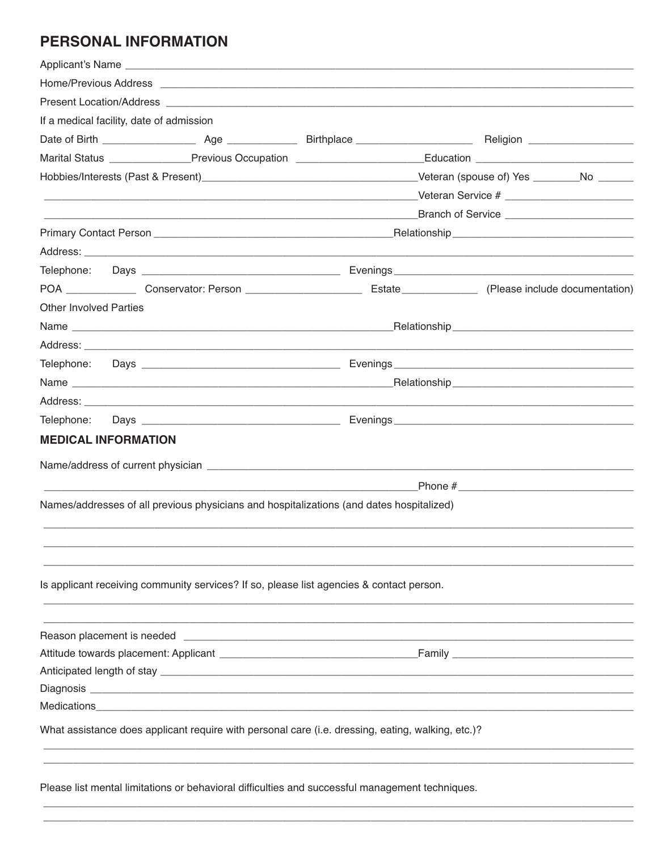# PERSONAL INFORMATION

|                               |                                          | Applicant's Name                                                                                  |  |  |
|-------------------------------|------------------------------------------|---------------------------------------------------------------------------------------------------|--|--|
|                               |                                          |                                                                                                   |  |  |
|                               |                                          |                                                                                                   |  |  |
|                               | If a medical facility, date of admission |                                                                                                   |  |  |
|                               |                                          |                                                                                                   |  |  |
|                               |                                          |                                                                                                   |  |  |
|                               |                                          |                                                                                                   |  |  |
|                               |                                          |                                                                                                   |  |  |
|                               |                                          |                                                                                                   |  |  |
|                               |                                          |                                                                                                   |  |  |
|                               |                                          |                                                                                                   |  |  |
|                               |                                          |                                                                                                   |  |  |
|                               |                                          |                                                                                                   |  |  |
| <b>Other Involved Parties</b> |                                          |                                                                                                   |  |  |
|                               |                                          |                                                                                                   |  |  |
|                               |                                          |                                                                                                   |  |  |
|                               |                                          |                                                                                                   |  |  |
|                               |                                          |                                                                                                   |  |  |
|                               |                                          |                                                                                                   |  |  |
|                               |                                          |                                                                                                   |  |  |
|                               | <b>MEDICAL INFORMATION</b>               |                                                                                                   |  |  |
|                               |                                          |                                                                                                   |  |  |
|                               |                                          |                                                                                                   |  |  |
|                               |                                          |                                                                                                   |  |  |
|                               |                                          | Names/addresses of all previous physicians and hospitalizations (and dates hospitalized)          |  |  |
|                               |                                          |                                                                                                   |  |  |
|                               |                                          |                                                                                                   |  |  |
|                               |                                          |                                                                                                   |  |  |
|                               |                                          | Is applicant receiving community services? If so, please list agencies & contact person.          |  |  |
|                               |                                          |                                                                                                   |  |  |
|                               |                                          |                                                                                                   |  |  |
|                               |                                          |                                                                                                   |  |  |
|                               |                                          |                                                                                                   |  |  |
|                               |                                          |                                                                                                   |  |  |
|                               |                                          |                                                                                                   |  |  |
|                               |                                          |                                                                                                   |  |  |
|                               |                                          | What assistance does applicant require with personal care (i.e. dressing, eating, walking, etc.)? |  |  |
|                               |                                          |                                                                                                   |  |  |
|                               |                                          |                                                                                                   |  |  |
|                               |                                          | Please list mental limitations or behavioral difficulties and successful management techniques.   |  |  |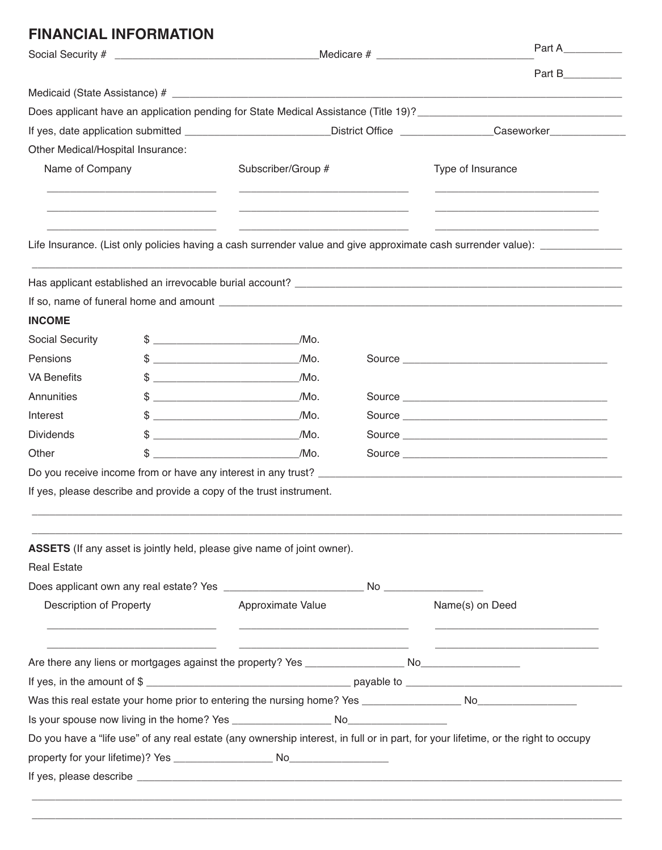## **FINANCIAL INFORMATION**

|                                   |                                                                                                                                                                                                                                                                                                                     |                                                                                                                                                                                                                                                                                                                             | Part A |                                                                                                                                    |  |
|-----------------------------------|---------------------------------------------------------------------------------------------------------------------------------------------------------------------------------------------------------------------------------------------------------------------------------------------------------------------|-----------------------------------------------------------------------------------------------------------------------------------------------------------------------------------------------------------------------------------------------------------------------------------------------------------------------------|--------|------------------------------------------------------------------------------------------------------------------------------------|--|
|                                   |                                                                                                                                                                                                                                                                                                                     |                                                                                                                                                                                                                                                                                                                             |        | Part B                                                                                                                             |  |
|                                   |                                                                                                                                                                                                                                                                                                                     |                                                                                                                                                                                                                                                                                                                             |        |                                                                                                                                    |  |
|                                   |                                                                                                                                                                                                                                                                                                                     |                                                                                                                                                                                                                                                                                                                             |        |                                                                                                                                    |  |
|                                   |                                                                                                                                                                                                                                                                                                                     |                                                                                                                                                                                                                                                                                                                             |        | If yes, date application submitted ________________________District Office ______________Caseworker___________                     |  |
| Other Medical/Hospital Insurance: |                                                                                                                                                                                                                                                                                                                     |                                                                                                                                                                                                                                                                                                                             |        |                                                                                                                                    |  |
| Name of Company                   |                                                                                                                                                                                                                                                                                                                     | Subscriber/Group #                                                                                                                                                                                                                                                                                                          |        | Type of Insurance                                                                                                                  |  |
|                                   |                                                                                                                                                                                                                                                                                                                     |                                                                                                                                                                                                                                                                                                                             |        | Life Insurance. (List only policies having a cash surrender value and give approximate cash surrender value): ______________       |  |
|                                   |                                                                                                                                                                                                                                                                                                                     |                                                                                                                                                                                                                                                                                                                             |        |                                                                                                                                    |  |
|                                   |                                                                                                                                                                                                                                                                                                                     |                                                                                                                                                                                                                                                                                                                             |        |                                                                                                                                    |  |
|                                   |                                                                                                                                                                                                                                                                                                                     |                                                                                                                                                                                                                                                                                                                             |        |                                                                                                                                    |  |
| <b>INCOME</b>                     |                                                                                                                                                                                                                                                                                                                     |                                                                                                                                                                                                                                                                                                                             |        |                                                                                                                                    |  |
| <b>Social Security</b>            | $\frac{1}{2}$ $\frac{1}{2}$ $\frac{1}{2}$ $\frac{1}{2}$ $\frac{1}{2}$ $\frac{1}{2}$ $\frac{1}{2}$ $\frac{1}{2}$ $\frac{1}{2}$ $\frac{1}{2}$ $\frac{1}{2}$ $\frac{1}{2}$ $\frac{1}{2}$ $\frac{1}{2}$ $\frac{1}{2}$ $\frac{1}{2}$ $\frac{1}{2}$ $\frac{1}{2}$ $\frac{1}{2}$ $\frac{1}{2}$ $\frac{1}{2}$ $\frac{1}{2}$ | /Mo.                                                                                                                                                                                                                                                                                                                        |        |                                                                                                                                    |  |
| Pensions                          | $\frac{1}{2}$                                                                                                                                                                                                                                                                                                       | /Mo.                                                                                                                                                                                                                                                                                                                        |        |                                                                                                                                    |  |
| <b>VA Benefits</b>                | $\frac{1}{2}$ $\frac{1}{2}$ $\frac{1}{2}$ $\frac{1}{2}$ $\frac{1}{2}$ $\frac{1}{2}$ $\frac{1}{2}$ $\frac{1}{2}$ $\frac{1}{2}$ $\frac{1}{2}$ $\frac{1}{2}$ $\frac{1}{2}$ $\frac{1}{2}$ $\frac{1}{2}$ $\frac{1}{2}$ $\frac{1}{2}$ $\frac{1}{2}$ $\frac{1}{2}$ $\frac{1}{2}$ $\frac{1}{2}$ $\frac{1}{2}$ $\frac{1}{2}$ | /Mo.                                                                                                                                                                                                                                                                                                                        |        |                                                                                                                                    |  |
| Annunities                        |                                                                                                                                                                                                                                                                                                                     | /Mo.<br>$\frac{1}{2}$ $\frac{1}{2}$ $\frac{1}{2}$ $\frac{1}{2}$ $\frac{1}{2}$ $\frac{1}{2}$ $\frac{1}{2}$ $\frac{1}{2}$ $\frac{1}{2}$ $\frac{1}{2}$ $\frac{1}{2}$ $\frac{1}{2}$ $\frac{1}{2}$ $\frac{1}{2}$ $\frac{1}{2}$ $\frac{1}{2}$ $\frac{1}{2}$ $\frac{1}{2}$ $\frac{1}{2}$ $\frac{1}{2}$ $\frac{1}{2}$ $\frac{1}{2}$ |        |                                                                                                                                    |  |
| Interest                          | $\frac{1}{2}$ $\frac{1}{2}$ $\frac{1}{2}$ $\frac{1}{2}$ $\frac{1}{2}$ $\frac{1}{2}$ $\frac{1}{2}$ $\frac{1}{2}$ $\frac{1}{2}$ $\frac{1}{2}$ $\frac{1}{2}$ $\frac{1}{2}$ $\frac{1}{2}$ $\frac{1}{2}$ $\frac{1}{2}$ $\frac{1}{2}$ $\frac{1}{2}$ $\frac{1}{2}$ $\frac{1}{2}$ $\frac{1}{2}$ $\frac{1}{2}$ $\frac{1}{2}$ | /Mo.                                                                                                                                                                                                                                                                                                                        |        | Source                                                                                                                             |  |
| <b>Dividends</b>                  |                                                                                                                                                                                                                                                                                                                     | /Mo.<br><u> 2008 - Jan James James Barnett, martin eta idazlea (</u>                                                                                                                                                                                                                                                        |        |                                                                                                                                    |  |
| Other                             |                                                                                                                                                                                                                                                                                                                     | $\overline{\phantom{a}}$ /Mo.                                                                                                                                                                                                                                                                                               |        |                                                                                                                                    |  |
|                                   |                                                                                                                                                                                                                                                                                                                     |                                                                                                                                                                                                                                                                                                                             |        |                                                                                                                                    |  |
|                                   |                                                                                                                                                                                                                                                                                                                     | If yes, please describe and provide a copy of the trust instrument.                                                                                                                                                                                                                                                         |        |                                                                                                                                    |  |
|                                   |                                                                                                                                                                                                                                                                                                                     |                                                                                                                                                                                                                                                                                                                             |        |                                                                                                                                    |  |
|                                   |                                                                                                                                                                                                                                                                                                                     |                                                                                                                                                                                                                                                                                                                             |        |                                                                                                                                    |  |
| <b>Real Estate</b>                |                                                                                                                                                                                                                                                                                                                     | ASSETS (If any asset is jointly held, please give name of joint owner).                                                                                                                                                                                                                                                     |        |                                                                                                                                    |  |
|                                   |                                                                                                                                                                                                                                                                                                                     |                                                                                                                                                                                                                                                                                                                             |        |                                                                                                                                    |  |
| <b>Description of Property</b>    |                                                                                                                                                                                                                                                                                                                     | Approximate Value                                                                                                                                                                                                                                                                                                           |        | Name(s) on Deed                                                                                                                    |  |
|                                   |                                                                                                                                                                                                                                                                                                                     | <u> 1989 - Johann John Stone, mars et al. (1989)</u>                                                                                                                                                                                                                                                                        |        |                                                                                                                                    |  |
|                                   |                                                                                                                                                                                                                                                                                                                     |                                                                                                                                                                                                                                                                                                                             |        |                                                                                                                                    |  |
|                                   |                                                                                                                                                                                                                                                                                                                     |                                                                                                                                                                                                                                                                                                                             |        |                                                                                                                                    |  |
|                                   |                                                                                                                                                                                                                                                                                                                     |                                                                                                                                                                                                                                                                                                                             |        |                                                                                                                                    |  |
|                                   |                                                                                                                                                                                                                                                                                                                     |                                                                                                                                                                                                                                                                                                                             |        |                                                                                                                                    |  |
|                                   |                                                                                                                                                                                                                                                                                                                     |                                                                                                                                                                                                                                                                                                                             |        |                                                                                                                                    |  |
|                                   |                                                                                                                                                                                                                                                                                                                     |                                                                                                                                                                                                                                                                                                                             |        |                                                                                                                                    |  |
|                                   |                                                                                                                                                                                                                                                                                                                     |                                                                                                                                                                                                                                                                                                                             |        | Do you have a "life use" of any real estate (any ownership interest, in full or in part, for your lifetime, or the right to occupy |  |

\_\_\_\_\_\_\_\_\_\_\_\_\_\_\_\_\_\_\_\_\_\_\_\_\_\_\_\_\_\_\_\_\_\_\_\_\_\_\_\_\_\_\_\_\_\_\_\_\_\_\_\_\_\_\_\_\_\_\_\_\_\_\_\_\_\_\_\_\_\_\_\_\_\_\_\_\_\_\_\_\_\_\_\_\_\_\_\_\_\_\_\_\_\_\_\_\_\_\_\_\_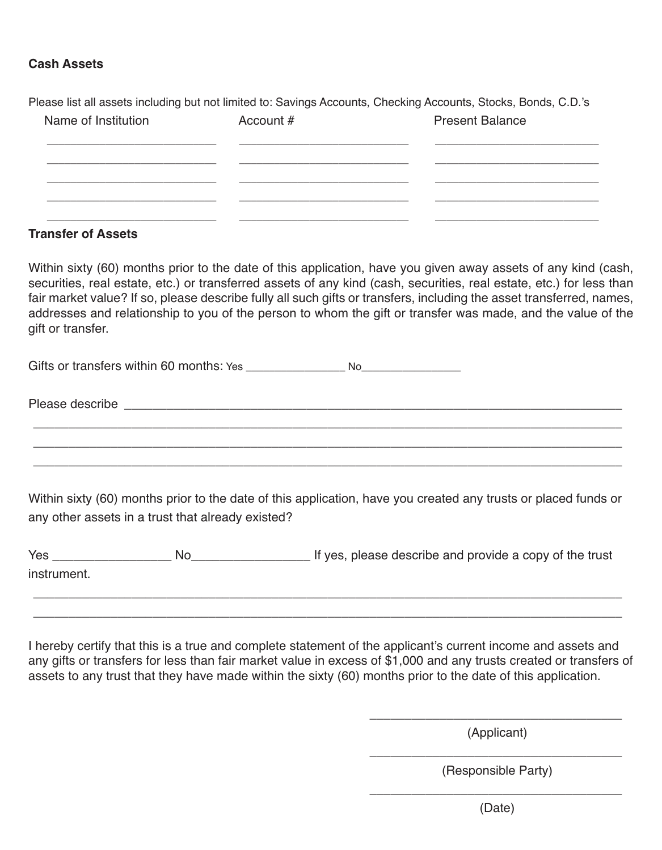#### **Cash Assets**

Please list all assets including but not limited to: Savings Accounts, Checking Accounts, Stocks, Bonds, C.D.'s

| Name of Institution | Account # | <b>Present Balance</b> |
|---------------------|-----------|------------------------|
|                     |           |                        |
|                     |           |                        |
|                     |           |                        |
|                     |           |                        |

#### **Transfer of Assets**

Within sixty (60) months prior to the date of this application, have you given away assets of any kind (cash, securities, real estate, etc.) or transferred assets of any kind (cash, securities, real estate, etc.) for less than fair market value? If so, please describe fully all such gifts or transfers, including the asset transferred, names, addresses and relationship to you of the person to whom the gift or transfer was made, and the value of the gift or transfer.

Gifts or transfers within 60 months: Yes \_\_\_\_\_\_\_\_\_\_\_\_\_\_\_\_\_ No\_\_\_\_\_\_\_\_\_\_\_\_\_\_\_\_\_

Please describe **Exercise** and the set of the set of the set of the set of the set of the set of the set of the set of the set of the set of the set of the set of the set of the set of the set of the set of the set of the

Within sixty (60) months prior to the date of this application, have you created any trusts or placed funds or any other assets in a trust that already existed?

\_\_\_\_\_\_\_\_\_\_\_\_\_\_\_\_\_\_\_\_\_\_\_\_\_\_\_\_\_\_\_\_\_\_\_\_\_\_\_\_\_\_\_\_\_\_\_\_\_\_\_\_\_\_\_\_\_\_\_\_\_\_\_\_\_\_\_\_\_\_\_\_\_\_\_\_\_\_\_\_\_\_\_\_ \_\_\_\_\_\_\_\_\_\_\_\_\_\_\_\_\_\_\_\_\_\_\_\_\_\_\_\_\_\_\_\_\_\_\_\_\_\_\_\_\_\_\_\_\_\_\_\_\_\_\_\_\_\_\_\_\_\_\_\_\_\_\_\_\_\_\_\_\_\_\_\_\_\_\_\_\_\_\_\_\_\_\_\_ \_\_\_\_\_\_\_\_\_\_\_\_\_\_\_\_\_\_\_\_\_\_\_\_\_\_\_\_\_\_\_\_\_\_\_\_\_\_\_\_\_\_\_\_\_\_\_\_\_\_\_\_\_\_\_\_\_\_\_\_\_\_\_\_\_\_\_\_\_\_\_\_\_\_\_\_\_\_\_\_\_\_\_\_

Yes \_\_\_\_\_\_\_\_\_\_\_\_\_\_\_\_\_ No\_\_\_\_\_\_\_\_\_\_\_\_\_\_\_\_\_ If yes, please describe and provide a copy of the trust instrument.

\_\_\_\_\_\_\_\_\_\_\_\_\_\_\_\_\_\_\_\_\_\_\_\_\_\_\_\_\_\_\_\_\_\_\_\_\_\_\_\_\_\_\_\_\_\_\_\_\_\_\_\_\_\_\_\_\_\_\_\_\_\_\_\_\_\_\_\_\_\_\_\_\_\_\_\_\_\_\_\_\_\_\_\_ \_\_\_\_\_\_\_\_\_\_\_\_\_\_\_\_\_\_\_\_\_\_\_\_\_\_\_\_\_\_\_\_\_\_\_\_\_\_\_\_\_\_\_\_\_\_\_\_\_\_\_\_\_\_\_\_\_\_\_\_\_\_\_\_\_\_\_\_\_\_\_\_\_\_\_\_\_\_\_\_\_\_\_\_

I hereby certify that this is a true and complete statement of the applicant's current income and assets and any gifts or transfers for less than fair market value in excess of \$1,000 and any trusts created or transfers of assets to any trust that they have made within the sixty (60) months prior to the date of this application.

> \_\_\_\_\_\_\_\_\_\_\_\_\_\_\_\_\_\_\_\_\_\_\_\_\_\_\_\_\_\_\_\_\_\_\_\_ (Applicant)

> \_\_\_\_\_\_\_\_\_\_\_\_\_\_\_\_\_\_\_\_\_\_\_\_\_\_\_\_\_\_\_\_\_\_\_\_ (Responsible Party)

> \_\_\_\_\_\_\_\_\_\_\_\_\_\_\_\_\_\_\_\_\_\_\_\_\_\_\_\_\_\_\_\_\_\_\_\_ (Date)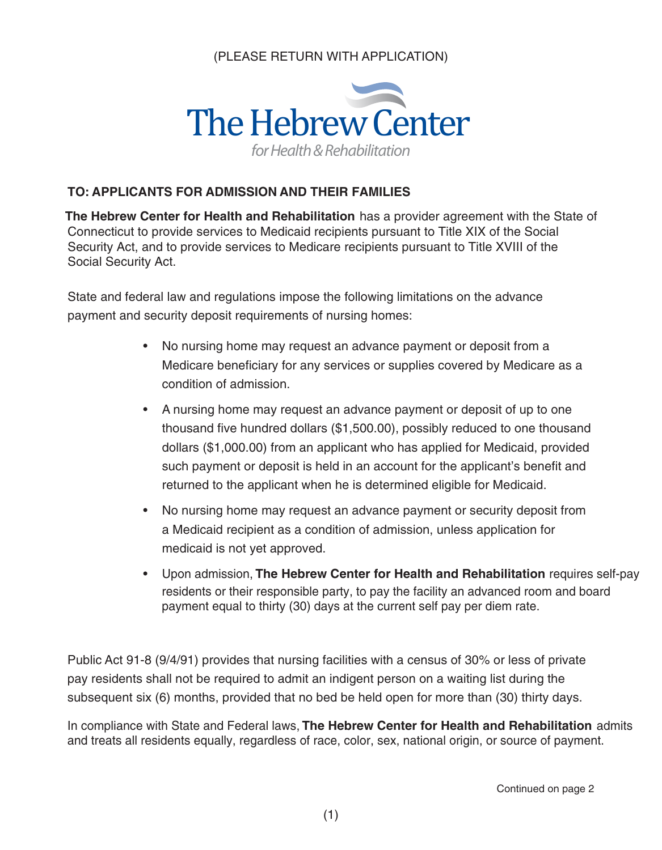## (PLEASE RETURN WITH APPLICATION)



#### **TO: APPLICANTS FOR ADMISSION AND THEIR FAMILIES**

**The Hebrew Center for Health and Rehabilitation** has a provider agreement with the State of Connecticut to provide services to Medicaid recipients pursuant to Title XIX of the Social Security Act, and to provide services to Medicare recipients pursuant to Title XVIII of the Social Security Act.

State and federal law and regulations impose the following limitations on the advance payment and security deposit requirements of nursing homes:

- No nursing home may request an advance payment or deposit from a Medicare beneficiary for any services or supplies covered by Medicare as a condition of admission.
- A nursing home may request an advance payment or deposit of up to one thousand five hundred dollars (\$1,500.00), possibly reduced to one thousand dollars (\$1,000.00) from an applicant who has applied for Medicaid, provided such payment or deposit is held in an account for the applicant's benefit and returned to the applicant when he is determined eligible for Medicaid.
- No nursing home may request an advance payment or security deposit from a Medicaid recipient as a condition of admission, unless application for medicaid is not yet approved.
- Upon admission, **The Hebrew Center for Health and Rehabilitation** requires self-pay residents or their responsible party, to pay the facility an advanced room and board payment equal to thirty (30) days at the current self pay per diem rate.

Public Act 91-8 (9/4/91) provides that nursing facilities with a census of 30% or less of private pay residents shall not be required to admit an indigent person on a waiting list during the subsequent six (6) months, provided that no bed be held open for more than (30) thirty days.

In compliance with State and Federal laws, **The Hebrew Center for Health and Rehabilitation** admits and treats all residents equally, regardless of race, color, sex, national origin, or source of payment.